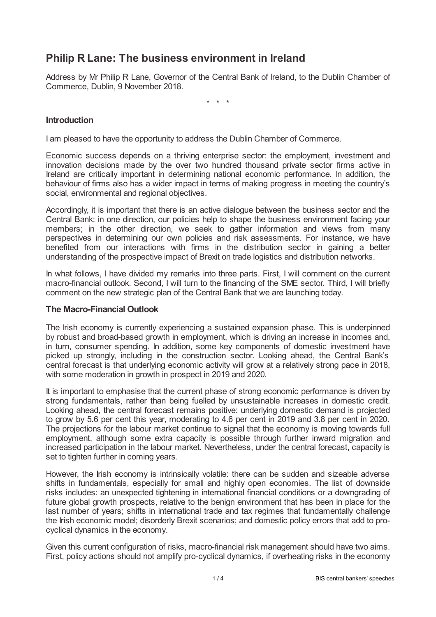# **Philip R Lane: The business environment in Ireland**

Address by Mr Philip R Lane, Governor of the Central Bank of Ireland, to the Dublin Chamber of Commerce, Dublin, 9 November 2018.

\* \* \*

## **Introduction**

I am pleased to have the opportunity to address the Dublin Chamber of Commerce.

Economic success depends on a thriving enterprise sector: the employment, investment and innovation decisions made by the over two hundred thousand private sector firms active in Ireland are critically important in determining national economic performance. In addition, the behaviour of firms also has a wider impact in terms of making progress in meeting the country's social, environmental and regional objectives.

Accordingly, it is important that there is an active dialogue between the business sector and the Central Bank: in one direction, our policies help to shape the business environment facing your members; in the other direction, we seek to gather information and views from many perspectives in determining our own policies and risk assessments. For instance, we have benefited from our interactions with firms in the distribution sector in gaining a better understanding of the prospective impact of Brexit on trade logistics and distribution networks.

In what follows, I have divided my remarks into three parts. First, I will comment on the current macro-financial outlook. Second, I will turn to the financing of the SME sector. Third, I will briefly comment on the new strategic plan of the Central Bank that we are launching today.

#### **The Macro-Financial Outlook**

The Irish economy is currently experiencing a sustained expansion phase. This is underpinned by robust and broad-based growth in employment, which is driving an increase in incomes and, in turn, consumer spending. In addition, some key components of domestic investment have picked up strongly, including in the construction sector. Looking ahead, the Central Bank's central forecast is that underlying economic activity will grow at a relatively strong pace in 2018, with some moderation in growth in prospect in 2019 and 2020.

It is important to emphasise that the current phase of strong economic performance is driven by strong fundamentals, rather than being fuelled by unsustainable increases in domestic credit. Looking ahead, the central forecast remains positive: underlying domestic demand is projected to grow by 5.6 per cent this year, moderating to 4.6 per cent in 2019 and 3.8 per cent in 2020. The projections for the labour market continue to signal that the economy is moving towards full employment, although some extra capacity is possible through further inward migration and increased participation in the labour market. Nevertheless, under the central forecast, capacity is set to tighten further in coming years.

However, the Irish economy is intrinsically volatile: there can be sudden and sizeable adverse shifts in fundamentals, especially for small and highly open economies. The list of downside risks includes: an unexpected tightening in international financial conditions or a downgrading of future global growth prospects, relative to the benign environment that has been in place for the last number of years; shifts in international trade and tax regimes that fundamentally challenge the Irish economic model; disorderly Brexit scenarios; and domestic policy errors that add to procyclical dynamics in the economy.

Given this current configuration of risks, macro-financial risk management should have two aims. First, policy actions should not amplify pro-cyclical dynamics, if overheating risks in the economy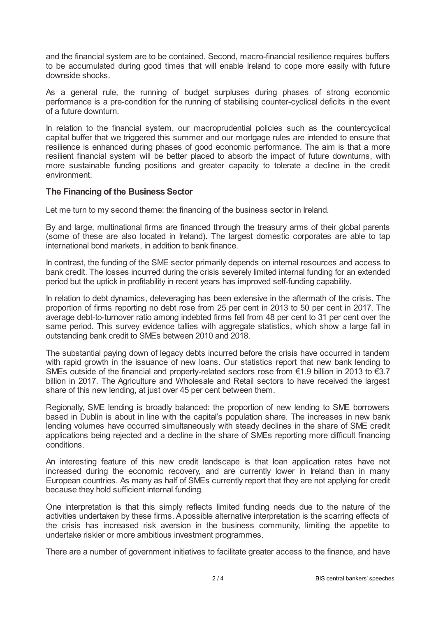and the financial system are to be contained. Second, macro-financial resilience requires buffers to be accumulated during good times that will enable Ireland to cope more easily with future downside shocks.

As a general rule, the running of budget surpluses during phases of strong economic performance is a pre-condition for the running of stabilising counter-cyclical deficits in the event of a future downturn.

In relation to the financial system, our macroprudential policies such as the countercyclical capital buffer that we triggered this summer and our mortgage rules are intended to ensure that resilience is enhanced during phases of good economic performance. The aim is that a more resilient financial system will be better placed to absorb the impact of future downturns, with more sustainable funding positions and greater capacity to tolerate a decline in the credit environment.

## **The Financing of the Business Sector**

Let me turn to my second theme: the financing of the business sector in Ireland.

By and large, multinational firms are financed through the treasury arms of their global parents (some of these are also located in Ireland). The largest domestic corporates are able to tap international bond markets, in addition to bank finance.

In contrast, the funding of the SME sector primarily depends on internal resources and access to bank credit. The losses incurred during the crisis severely limited internal funding for an extended period but the uptick in profitability in recent years has improved self-funding capability.

In relation to debt dynamics, deleveraging has been extensive in the aftermath of the crisis. The proportion of firms reporting no debt rose from 25 per cent in 2013 to 50 per cent in 2017. The average debt-to-turnover ratio among indebted firms fell from 48 per cent to 31 per cent over the same period. This survey evidence tallies with aggregate statistics, which show a large fall in outstanding bank credit to SMEs between 2010 and 2018.

The substantial paying down of legacy debts incurred before the crisis have occurred in tandem with rapid growth in the issuance of new loans. Our statistics report that new bank lending to SMEs outside of the financial and property-related sectors rose from €1.9 billion in 2013 to €3.7 billion in 2017. The Agriculture and Wholesale and Retail sectors to have received the largest share of this new lending, at just over 45 per cent between them.

Regionally, SME lending is broadly balanced: the proportion of new lending to SME borrowers based in Dublin is about in line with the capital's population share. The increases in new bank lending volumes have occurred simultaneously with steady declines in the share of SME credit applications being rejected and a decline in the share of SMEs reporting more difficult financing conditions.

An interesting feature of this new credit landscape is that loan application rates have not increased during the economic recovery, and are currently lower in Ireland than in many European countries. As many as half of SMEs currently report that they are not applying for credit because they hold sufficient internal funding.

One interpretation is that this simply reflects limited funding needs due to the nature of the activities undertaken by these firms. Apossible alternative interpretation is the scarring effects of the crisis has increased risk aversion in the business community, limiting the appetite to undertake riskier or more ambitious investment programmes.

There are a number of government initiatives to facilitate greater access to the finance, and have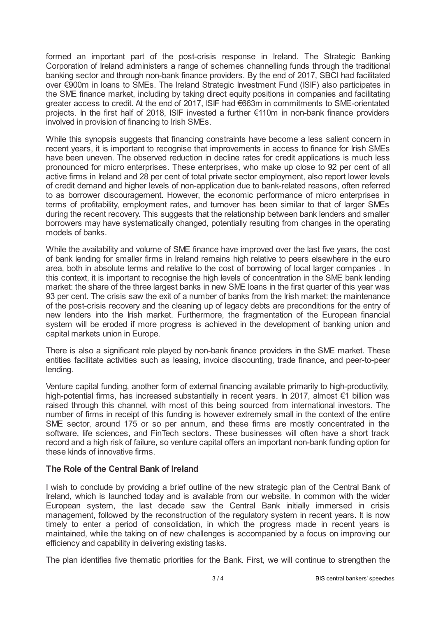formed an important part of the post-crisis response in Ireland. The Strategic Banking Corporation of Ireland administers a range of schemes channelling funds through the traditional banking sector and through non-bank finance providers. By the end of 2017, SBCI had facilitated over €900m in loans to SMEs. The Ireland Strategic Investment Fund (ISIF) also participates in the SME finance market, including by taking direct equity positions in companies and facilitating greater access to credit. At the end of 2017, ISIF had €663m in commitments to SME-orientated projects. In the first half of 2018, ISIF invested a further €110m in non-bank finance providers involved in provision of financing to Irish SMEs.

While this synopsis suggests that financing constraints have become a less salient concern in recent years, it is important to recognise that improvements in access to finance for Irish SMEs have been uneven. The observed reduction in decline rates for credit applications is much less pronounced for micro enterprises. These enterprises, who make up close to 92 per cent of all active firms in Ireland and 28 per cent of total private sector employment, also report lower levels of credit demand and higher levels of non-application due to bank-related reasons, often referred to as borrower discouragement. However, the economic performance of micro enterprises in terms of profitability, employment rates, and turnover has been similar to that of larger SMEs during the recent recovery. This suggests that the relationship between bank lenders and smaller borrowers may have systematically changed, potentially resulting from changes in the operating models of banks.

While the availability and volume of SME finance have improved over the last five years, the cost of bank lending for smaller firms in Ireland remains high relative to peers elsewhere in the euro area, both in absolute terms and relative to the cost of borrowing of local larger companies . In this context, it is important to recognise the high levels of concentration in the SME bank lending market: the share of the three largest banks in new SME loans in the first quarter of this year was 93 per cent. The crisis saw the exit of a number of banks from the Irish market: the maintenance of the post-crisis recovery and the cleaning up of legacy debts are preconditions for the entry of new lenders into the Irish market. Furthermore, the fragmentation of the European financial system will be eroded if more progress is achieved in the development of banking union and capital markets union in Europe.

There is also a significant role played by non-bank finance providers in the SME market. These entities facilitate activities such as leasing, invoice discounting, trade finance, and peer-to-peer lending.

Venture capital funding, another form of external financing available primarily to high-productivity, high-potential firms, has increased substantially in recent years. In 2017, almost €1 billion was raised through this channel, with most of this being sourced from international investors. The number of firms in receipt of this funding is however extremely small in the context of the entire SME sector, around 175 or so per annum, and these firms are mostly concentrated in the software, life sciences, and FinTech sectors. These businesses will often have a short track record and a high risk of failure, so venture capital offers an important non-bank funding option for these kinds of innovative firms.

# **The Role of the Central Bank of Ireland**

I wish to conclude by providing a brief outline of the new strategic plan of the Central Bank of Ireland, which is launched today and is available from our website. In common with the wider European system, the last decade saw the Central Bank initially immersed in crisis management, followed by the reconstruction of the regulatory system in recent years. It is now timely to enter a period of consolidation, in which the progress made in recent years is maintained, while the taking on of new challenges is accompanied by a focus on improving our efficiency and capability in delivering existing tasks.

The plan identifies five thematic priorities for the Bank. First, we will continue to strengthen the